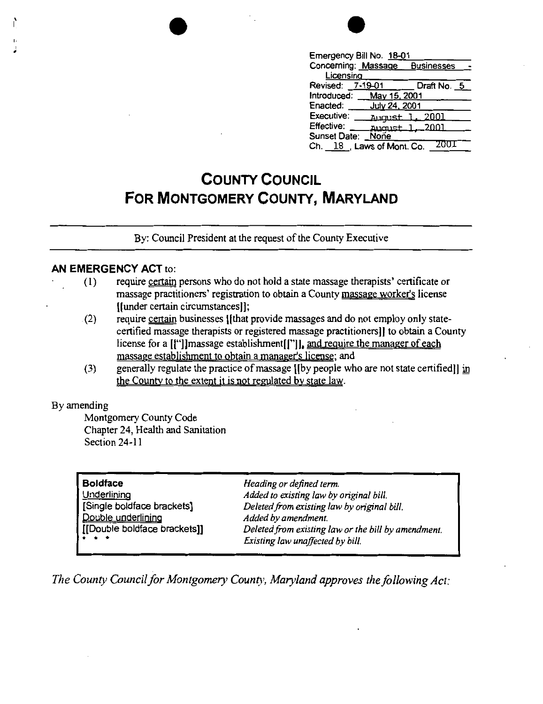

| Emergency Bill No. 18-01                 |
|------------------------------------------|
| Concerning: Massage<br><b>Businesses</b> |
| Licensina                                |
| Draft No. 5<br>7-19-01<br>Revised:       |
| May 15, 2001<br>Introduced:              |
| July 24, 2001<br>Enacted:                |
| Executive:<br>2001<br>August             |
| Effective:<br>2001<br>August             |
| Sunset Date:<br>Noñe                     |
| 200<br>Ch. 18 Laws of Mont. Co.          |

# **COUNTY COUNCIL FOR MONTGOMERY COUNTY, MARYLAND**

By: Council President at the request of the County Executive

#### **AN EMERGENCY ACT** to:

- (I) require certain persons who do not hold a state massage therapists' certificate or massage practitioners' registration to obtain a County massage worker's license [(under certain circumstancesl);
- (2) require certain businesses [[that provide massages and do not employ only statecertified massage therapists or registered massage practitioners I) to obtain a County license for a [["]]massage establishment[["]], and require the manager of each massage establishment to obtain a manager's license; and
- (3) generally regulate the practice of massage [[by people who are not state certified]] in the County to the extent it is not regulated by state law.

#### By amending

Montgomery County Code Chapter 24, Health and Sanitation Section 24-11

| Heading or defined term.                                                                |
|-----------------------------------------------------------------------------------------|
| Added to existing law by original bill.                                                 |
| Deleted from existing law by original bill.                                             |
| Added by amendment.                                                                     |
| Deleted from existing law or the bill by amendment.<br>Existing law unaffected by bill. |
|                                                                                         |

*The County Council for Montgomery County, Maryland approves the following Act:*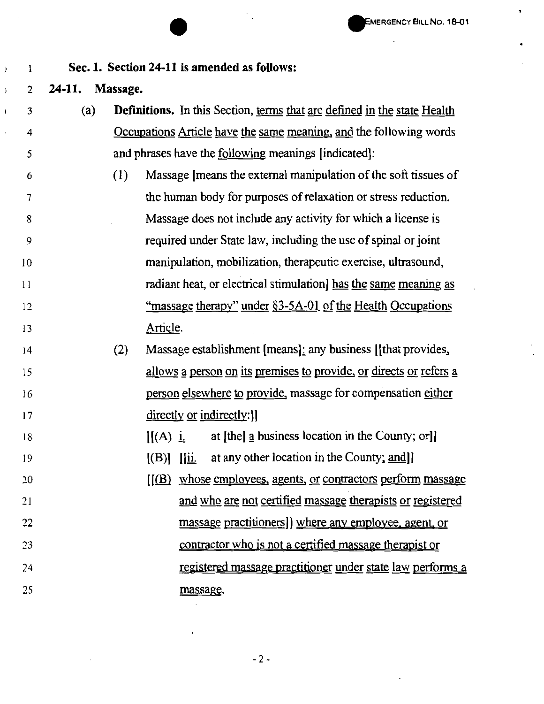•

### **Sec. 1. Section 24-11 is amended as follows:**

## 2 **24-11. Massage.**

 $\mathbf{1}$ 

 $\big)$ 

 $\overline{)}$ 

 $\bar{1}$ 

| 3            | (a) | <b>Definitions.</b> In this Section, terms that are defined in the state Health           |
|--------------|-----|-------------------------------------------------------------------------------------------|
| 4            |     | Occupations Article have the same meaning, and the following words                        |
| 5            |     | and phrases have the <u>following</u> meanings [indicated]:                               |
| 6            |     | Massage [means the external manipulation of the soft tissues of<br>(1)                    |
| 7            |     | the human body for purposes of relaxation or stress reduction.                            |
| 8            |     | Massage does not include any activity for which a license is                              |
| 9            |     | required under State law, including the use of spinal or joint                            |
| 10           |     | manipulation, mobilization, therapeutic exercise, ultrasound,                             |
| $\mathbf{1}$ |     | radiant heat, or electrical stimulation] has the same meaning as                          |
| 12           |     | <u>"massage therapy" under §3-5A-01 of the Health Occupations</u>                         |
| 13           |     | Article.                                                                                  |
| 14           |     | Massage establishment [means]: any business [[that provides,<br>(2)                       |
| 15           |     | allows a person on its premises to provide, or directs or refers a                        |
| 16           |     | person elsewhere to provide, massage for compensation either                              |
| 17           |     | directly or indirectly: ]]                                                                |
| 18           |     | at [the] a business location in the County; or]]<br>$\mathbf{H}(\mathbf{A})$ <u>i</u> .   |
| 19           |     | at any other location in the County; and]<br>$\vert (B) \vert$<br>$\overline{\mathbf{u}}$ |
| 20           |     | $[(B)$ whose employees, agents, or contractors perform massage                            |
| 21           |     | and who are not certified massage therapists or registered                                |
| 22           |     | massage practitioners]] where any employee, agent, or                                     |
| 23           |     | contractor who is not a certified massage therapist or                                    |

registered massage practitioner under state law performs a

massage.

 $\bar{\mathcal{A}}$ 

24

25

-2-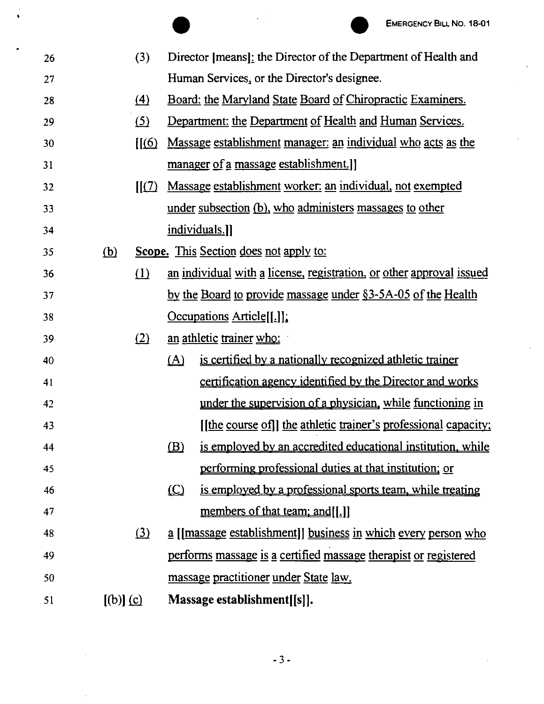

|    |             |                                           |              |                                                                      | <b>EMERGENCY BILL NO. 18-01</b> |
|----|-------------|-------------------------------------------|--------------|----------------------------------------------------------------------|---------------------------------|
| 26 |             | (3)                                       |              | Director [means]: the Director of the Department of Health and       |                                 |
| 27 |             |                                           |              | Human Services, or the Director's designee.                          |                                 |
| 28 |             | $\Delta$                                  |              | Board: the Maryland State Board of Chiropractic Examiners.           |                                 |
| 29 |             | (5)                                       |              | Department: the Department of Health and Human Services.             |                                 |
| 30 |             | $\left[\left(\underline{6}\right)\right]$ |              | Massage establishment manager: an individual who acts as the         |                                 |
| 31 |             |                                           |              | manager of a massage establishment.                                  |                                 |
| 32 |             | $\mathbf{I}(\mathbf{Z})$                  |              | Massage establishment worker: an individual, not exempted            |                                 |
| 33 |             |                                           |              | under subsection (b), who administers massages to other              |                                 |
| 34 |             |                                           |              | individuals.]]                                                       |                                 |
| 35 | <u>(b)</u>  |                                           |              | Scope. This Section does not apply to:                               |                                 |
| 36 |             | $\Omega$                                  |              | an individual with a license, registration, or other approval issued |                                 |
| 37 |             |                                           |              | by the Board to provide massage under §3-5A-05 of the Health         |                                 |
| 38 |             |                                           |              | $Occupations$ $Article[[.]]$                                         |                                 |
| 39 |             | (2)                                       |              | an athletic trainer who:                                             |                                 |
| 40 |             |                                           | <u>(A)</u>   | is certified by a nationally recognized athletic trainer             |                                 |
| 41 |             |                                           |              | certification agency identified by the Director and works            |                                 |
| 42 |             |                                           |              | under the supervision of a physician, while functioning in           |                                 |
| 43 |             |                                           |              | [the course of]] the athletic trainer's professional capacity;       |                                 |
| 44 |             |                                           | $\mathbf{B}$ | is employed by an accredited educational institution, while          |                                 |
| 45 |             |                                           |              | performing professional duties at that institution; or               |                                 |
| 46 |             |                                           | $\Omega$     | is employed by a professional sports team, while treating            |                                 |
| 47 |             |                                           |              | members of that team; and [[.]]                                      |                                 |
| 48 |             | $\Omega$                                  |              | a [[massage establishment]] business in which every person who       |                                 |
| 49 |             |                                           |              | performs massage is a certified massage therapist or registered      |                                 |
| 50 |             |                                           |              | massage practitioner under State law.                                |                                 |
| 51 | $[(b)]$ (c) |                                           |              | Massage establishment[[s]].                                          |                                 |

 $\bullet$ 

 $\epsilon$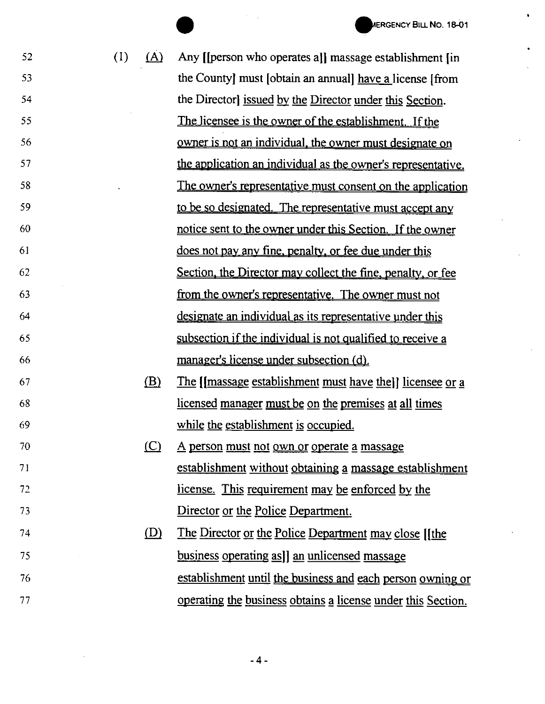52

53

54

55

56

57

58

59

60

61

62

63

64

65

66

67

68

69

70

71

72

73

ERGENCY BILL NO. 18-01<br>
(1) (A) Any [[person who operates a]] massage establishment [in] the County) must [obtain an annual) have a license [from the Director) issued by the Director under this Section. The licensee is the owner of the establishment. If the owner is not an individual. the owner must designate on the application an individual as the owner's representative. The owner's representative must consent on the application to be so designated. The representative must accept any notice sent to the owner under this Section. If the owner does not pay any fine. penalty. or fee due under this Section, the Director may collect the fine. penalty. or fee from the owner's representative. The owner must not designate an individual as its representative under this subsection if the individual is not qualified to receive a manager's license under subsection (d}.

- $\delta$  The [[massage establishment must have the]] licensee or a licensed manager must be on the premises at all times while the establishment is occupied.
- $(C)$  A person must not own or operate a massage establishment without obtaining a massage establishment license. This requirement may be enforced by the Director or the Police Department.
- 74 75 76 77  $\Omega$ ) The Director or the Police Department may close [[the business operating as]] an unlicensed massage establishment until the business and each person owning or operating the business obtains a license under this Section.

-4-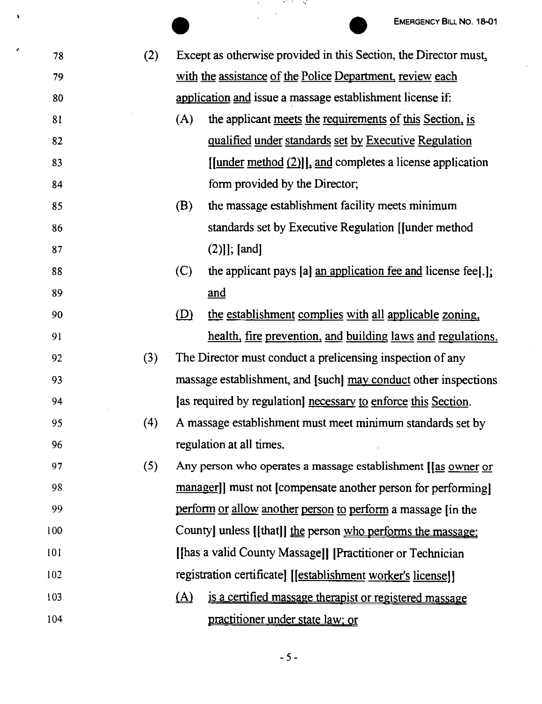$\ddot{\phantom{1}}$ 

 $\Box$ 

|   |     |     | <b>EMERGENCY BILL NO. 18-01</b>                                               |
|---|-----|-----|-------------------------------------------------------------------------------|
| J | 78  | (2) | Except as otherwise provided in this Section, the Director must,              |
|   | 79  |     | with the assistance of the Police Department, review each                     |
|   | 80  |     | application and issue a massage establishment license if:                     |
|   | 81  |     | the applicant meets the requirements of this Section, is<br>(A)               |
|   | 82  |     | qualified under standards set by Executive Regulation                         |
|   | 83  |     | $[$ [under method $(2)$ ], and completes a license application                |
|   | 84  |     | form provided by the Director;                                                |
|   | 85  |     | (B)<br>the massage establishment facility meets minimum                       |
|   | 86  |     | standards set by Executive Regulation [Junder method                          |
|   | 87  |     | $(2)]$ ; [and]                                                                |
|   | 88  |     | the applicant pays [a] $\alpha$ an application fee and license fee[.];<br>(C) |
|   | 89  |     | <u>and</u>                                                                    |
|   | 90  |     | (D)<br>the establishment complies with all applicable zoning,                 |
|   | 91  |     | health, fire prevention, and building laws and regulations.                   |
|   | 92  | (3) | The Director must conduct a prelicensing inspection of any                    |
|   | 93  |     | massage establishment, and [such] may conduct other inspections               |
|   | 94  |     | [as required by regulation] necessary to enforce this Section.                |
|   | 95  | (4) | A massage establishment must meet minimum standards set by                    |
|   | 96  |     | regulation at all times.                                                      |
|   | 97  | (5) | Any person who operates a massage establishment [[as owner or                 |
|   | 98  |     | manager]] must not [compensate another person for performing]                 |
|   | 99  |     | perform or allow another person to perform a massage (in the                  |
|   | 100 |     | County] unless [[that]] the person who performs the massage:                  |
|   | 101 |     | [thas a valid County Massage]] [Practitioner or Technician]                   |
|   | 102 |     | registration certificate] [[establishment worker's license]]                  |
|   | 103 |     | $\Delta$<br>is a certified massage therapist or registered massage            |
|   | 104 |     | practitioner under state law; or                                              |
|   |     |     |                                                                               |

 $\pmb{\mathsf{s}}$ 

 $-5 -$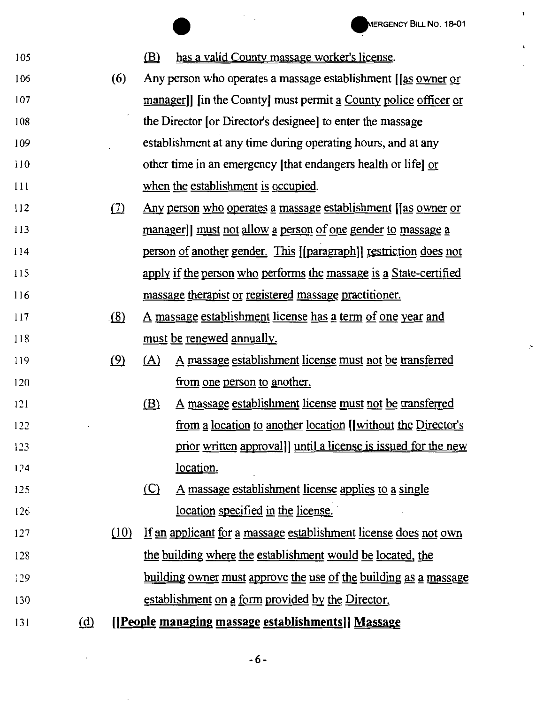105

125

126

WERGENCY BILL NO. 18-01<br>
(B) has a valid County massage worker's license.

- 106 107 108 109 110 111 (6) Any person who operates a massage establishment [las owner or managerll lin the Countyl must permit a County police officer or the Director [or Director's designee) to enter the massage establishment at any time during operating hours, and at any other time in an emergency [that endangers health or life) or when the establishment is occupied.
- 112 113 114 115 116 (7) Any person who operates a massage establishment **[**[as owner or manager]] must not allow a person of one gender to massage a person of another gender. This [[paragraphl) restriction does not apply if the person who performs the massage is a State-certified massage therapist or registered massage practitioner.
- 117 118 (8) A massage establishment license has a term of one year and must be renewed annually.
- 119 120 !.2) {A) A massage establishment license must not be transferred from one person to another.
- 121 122  $123$ 124 (B) A massage establishment license must not be transferred from a location to another location [[without the Director's prior written approval]) until a license is issued for the new location.
	- $(C)$  A massage establishment license applies to a single location specified in the license.
- 127 128 *)29*  130 {.lQ} If an applicant for g massage establishment license does not own the building where the establishment would be located, the building owner must approve the use of the building as a massage establishment on a form provided by the Director.
- $131$  (d) **[(People managing massage establishments)) Massage**

-6 -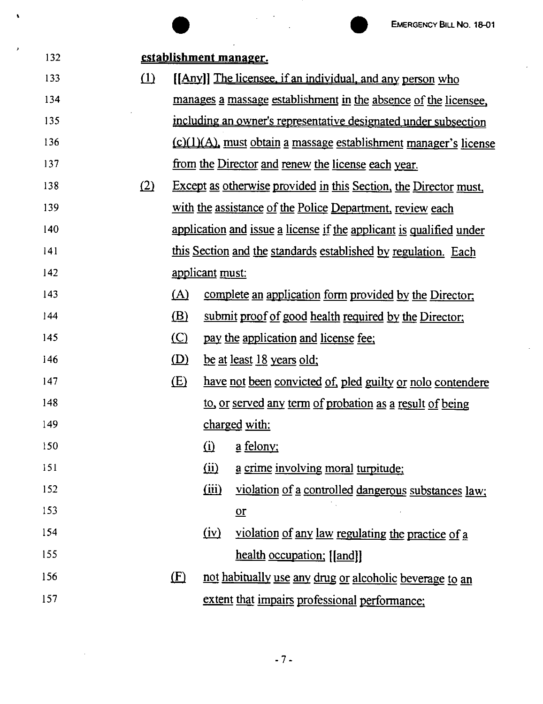$\mathcal{L}$ 

 $\hat{\mathbf{r}}$ 

|     |     |            |                 | <b>EMERGENCY BILL NO. 18-01</b>                                          |
|-----|-----|------------|-----------------|--------------------------------------------------------------------------|
| 132 |     |            |                 | establishment manager.                                                   |
| 133 | (1) |            |                 | [[Any]] The licensee, if an individual, and any person who               |
| 134 |     |            |                 | manages a massage establishment in the absence of the licensee.          |
| 135 |     |            |                 | including an owner's representative designated under subsection          |
| 136 |     |            |                 | <u>(c)(1)(A)</u> , must obtain a massage establishment manager's license |
| 137 |     |            |                 | from the Director and renew the license each year.                       |
| 138 | (2) |            |                 | Except as otherwise provided in this Section, the Director must,         |
| 139 |     |            |                 | with the assistance of the Police Department, review each                |
| 140 |     |            |                 | application and issue a license if the applicant is qualified under      |
| 141 |     |            |                 | this Section and the standards established by regulation. Each           |
| 142 |     |            | applicant must: |                                                                          |
| 143 |     | (A)        |                 | complete an application form provided by the Director:                   |
| 144 |     | <u>(B)</u> |                 | submit proof of good health required by the Director;                    |
| 145 |     | $\circ$    |                 | pay the application and license fee;                                     |
| 146 |     | (D)        |                 | <u>be at least 18 years old;</u>                                         |
| 147 |     | (E)        |                 | have not been convicted of, pled guilty or nolo contendere               |
| 148 |     |            |                 | to, or served any term of probation as a result of being                 |
| 149 |     |            |                 | charged with:                                                            |
| 150 |     |            | $\Omega$        | <u>a</u> felony;                                                         |
| 151 |     |            | (ii)            | a crime involving moral turpitude;                                       |
| 152 |     |            | (iii)           | violation of a controlled dangerous substances law;                      |
| 153 |     |            |                 | $\underline{\text{or}}$                                                  |
| 154 |     |            | (iv)            | violation of any law regulating the practice of a                        |
| 155 |     |            |                 | health occupation: [[and]]                                               |
| 156 |     | (E)        |                 | not habitually use any drug or alcoholic beverage to an                  |
| 157 |     |            |                 | extent that impairs professional performance:                            |

 $\hat{\mathbf{v}}$ 

J.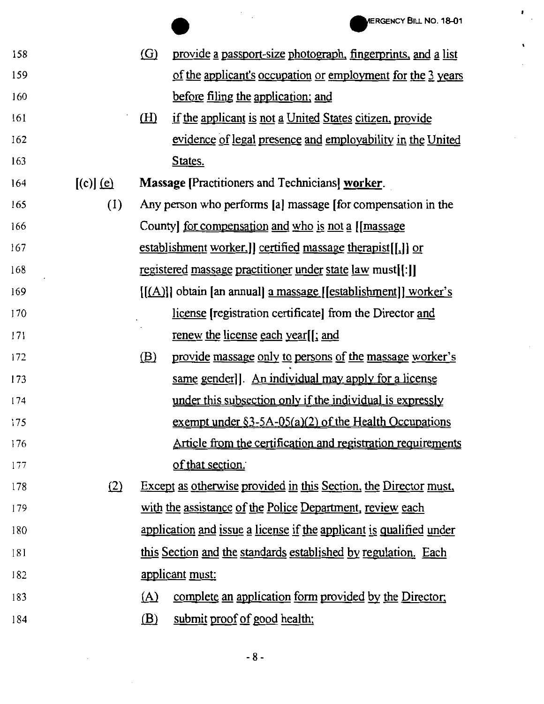$\epsilon_{\rm{eff}}$ 

 $\mathbf{r}$ 

| <b>158</b> |             | $\Omega$          | provide a passport-size photograph, fingerprints, and a list        |
|------------|-------------|-------------------|---------------------------------------------------------------------|
| 159        |             |                   | of the applicant's occupation or employment for the 3 years         |
| 160        |             |                   | before filing the application; and                                  |
| 161        |             | <u>(H)</u>        | if the applicant is not a United States citizen, provide            |
| 162        |             |                   | evidence of legal presence and employability in the United          |
| 163        |             |                   | States.                                                             |
| 164        | $[(c)]$ (e) |                   | <b>Massage [Practitioners and Technicians] worker.</b>              |
| 165        | (1)         |                   | Any person who performs [a] massage [for compensation in the        |
| 166        |             |                   | County] <u>for compensation</u> and who is not a [[massage          |
| 167        |             |                   | establishment worker.] certified massage therapist[[.]] or          |
| 168        |             |                   | registered massage practitioner under state law must[[:]]           |
| 169        |             |                   | $[(A)]$ obtain [an annual] a massage $[estabilishment]$ worker's    |
| 170        |             |                   | license [registration certificate] from the Director and            |
| 171        |             |                   | <u>renew the license each year</u> <sup>[[</sup> ; and              |
| 172        |             | (B)               | provide massage only to persons of the massage worker's             |
| 173        |             |                   | same gender]]. An individual may apply for a license                |
| 174        |             |                   | under this subsection only if the individual is expressly           |
| 175        |             |                   | exempt under $\S3-5A-05(a)(2)$ of the Health Occupations            |
| 176        |             |                   | Article from the certification and registration requirements        |
| 177        |             |                   | of that section.                                                    |
| 178        | (2)         |                   | Except as otherwise provided in this Section, the Director must,    |
| 179        |             |                   | with the assistance of the Police Department, review each           |
| 180        |             |                   | application and issue a license if the applicant is qualified under |
| 181        |             |                   | this Section and the standards established by regulation. Each      |
| 182        |             |                   | <u>applicant</u> must:                                              |
| 183        |             | $(\underline{A})$ | complete an application form provided by the Director;              |
| 184        |             | <u>(B)</u>        | submit proof of good health;                                        |
|            |             |                   |                                                                     |

 $\sim$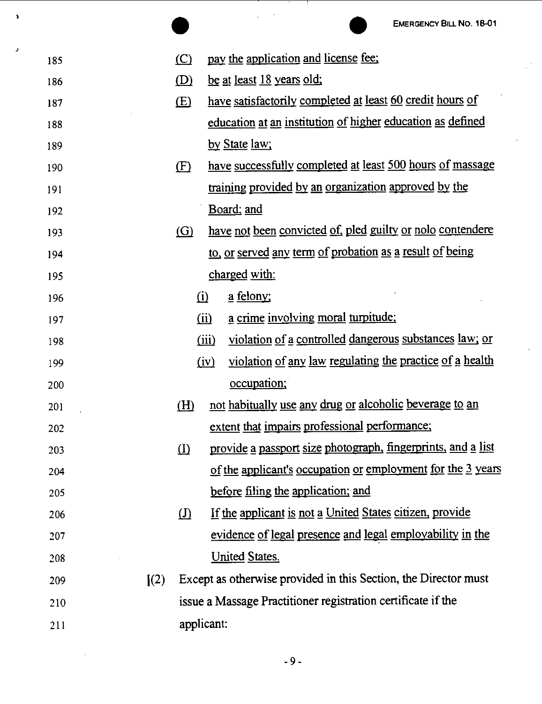|     |                            |              | <b>EMERGENCY BILL NO. 18-01</b>                                  |
|-----|----------------------------|--------------|------------------------------------------------------------------|
| 185 |                            | (C)          | pay the application and license fee:                             |
| 186 |                            | (D)          | <u>be at least 18 years old;</u>                                 |
| 187 |                            | (E)          | have satisfactorily completed at least 60 credit hours of        |
| 188 |                            |              | education at an institution of higher education as defined       |
| 189 |                            |              | by State law;                                                    |
| 190 |                            | (F)          | have successfully completed at least 500 hours of massage        |
| 191 |                            |              | training provided by an organization approved by the             |
| 192 |                            |              | Board; and                                                       |
| 193 |                            | (G)          | have not been convicted of, pled guilty or nolo contendere       |
| 194 |                            |              | to, or served any term of probation as a result of being         |
| 195 |                            |              | <u>charged</u> with:                                             |
| 196 |                            | (i)          | <u>a</u> felony;                                                 |
| 197 |                            |              | a crime involving moral turpitude:<br>$\overline{(\mathbf{ii})}$ |
| 198 |                            |              | violation of a controlled dangerous substances law; or<br>(iii)  |
| 199 |                            |              | violation of any law regulating the practice of a health<br>(iv) |
| 200 |                            |              | occupation;                                                      |
| 201 |                            | <u>(H)</u>   | not habitually use any drug or alcoholic beverage to an          |
| 202 |                            |              | extent that impairs professional performance;                    |
| 203 |                            | $\mathbf{D}$ | provide a passport size photograph, fingerprints, and a list     |
| 204 |                            |              | of the applicant's occupation or employment for the 3 years      |
| 205 |                            |              | before filing the application; and                               |
| 206 |                            | $\Omega$     | If the applicant is not a United States citizen, provide         |
| 207 |                            |              | evidence of legal presence and legal employability in the        |
| 208 |                            |              | <b>United States.</b>                                            |
| 209 | $\left[\frac{2}{2}\right]$ |              | Except as otherwise provided in this Section, the Director must  |
| 210 |                            |              | issue a Massage Practitioner registration certificate if the     |
| 211 |                            | applicant:   |                                                                  |

 $\mathbf{v}$ 

ر.

-9-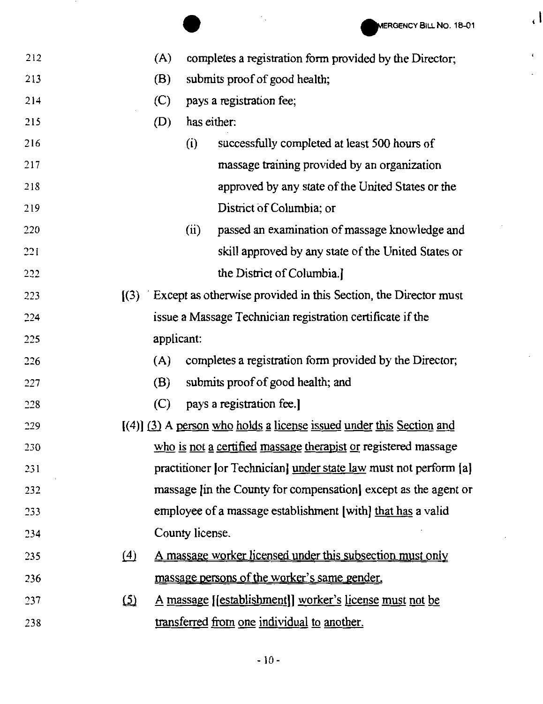' I

 $\bar{\mathbf{r}}$ 

 $\overline{\phantom{a}}$ 

|     |               |                 | MERGENCY BILL NO. 18-01                                               |
|-----|---------------|-----------------|-----------------------------------------------------------------------|
| 212 |               | (A)             | completes a registration form provided by the Director;               |
| 213 |               | (B)             | submits proof of good health;                                         |
| 214 |               | (C)             | pays a registration fee;                                              |
| 215 |               | (D)             | has either:                                                           |
| 216 |               | (i)             | successfully completed at least 500 hours of                          |
| 217 |               |                 | massage training provided by an organization                          |
| 218 |               |                 | approved by any state of the United States or the                     |
| 219 |               |                 | District of Columbia; or                                              |
| 220 |               | (ii)            | passed an examination of massage knowledge and                        |
| 221 |               |                 | skill approved by any state of the United States or                   |
| 222 |               |                 | the District of Columbia.]                                            |
| 223 |               |                 | $(3)$ Except as otherwise provided in this Section, the Director must |
| 224 |               |                 | issue a Massage Technician registration certificate if the            |
| 225 |               | applicant:      |                                                                       |
| 226 |               | (A)             | completes a registration form provided by the Director;               |
| 227 |               | (B)             | submits proof of good health; and                                     |
| 228 |               | (C)             | pays a registration fee.]                                             |
| 229 |               |                 | $(4)$ (3) A person who holds a license issued under this Section and  |
| 230 |               |                 | who is not a certified massage therapist or registered massage        |
| 231 |               |                 | practitioner [or Technician] under state law must not perform [a]     |
| 232 |               |                 | massage [in the County for compensation] except as the agent or       |
| 233 |               |                 | employee of a massage establishment [with] that has a valid           |
| 234 |               | County license. |                                                                       |
| 235 | (4)           |                 | A massage worker licensed under this subsection must only             |
| 236 |               |                 | massage persons of the worker's same gender.                          |
| 237 | $\circled{2}$ |                 | <u>A massage [[establishment]] worker's license must not be</u>       |
| 238 |               |                 | transferred from one individual to another.                           |
|     |               |                 |                                                                       |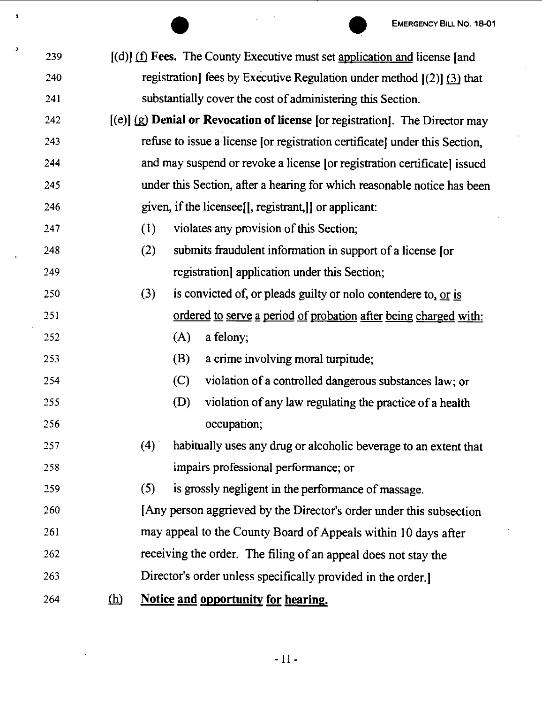|     |            |     |     |                                                                               | EMERGENCY BILL NO. 18-01 |
|-----|------------|-----|-----|-------------------------------------------------------------------------------|--------------------------|
| 239 |            |     |     | $[(d)]$ (f) Fees. The County Executive must set application and license [and  |                          |
| 240 |            |     |     | registration] fees by Executive Regulation under method $[(2)]$ (3) that      |                          |
| 241 |            |     |     | substantially cover the cost of administering this Section.                   |                          |
| 242 |            |     |     | [(e)] (g) Denial or Revocation of license [or registration]. The Director may |                          |
| 243 |            |     |     | refuse to issue a license [or registration certificate] under this Section,   |                          |
| 244 |            |     |     | and may suspend or revoke a license [or registration certificate] issued      |                          |
| 245 |            |     |     | under this Section, after a hearing for which reasonable notice has been      |                          |
| 246 |            |     |     | given, if the licensee. [[, registrant,]] or applicant:                       |                          |
| 247 |            | (1) |     | violates any provision of this Section;                                       |                          |
| 248 |            | (2) |     | submits fraudulent information in support of a license [or                    |                          |
| 249 |            |     |     | registration] application under this Section;                                 |                          |
| 250 |            | (3) |     | is convicted of, or pleads guilty or nolo contendere to, or is                |                          |
| 251 |            |     |     | ordered to serve a period of probation after being charged with:              |                          |
| 252 |            |     | (A) | a felony;                                                                     |                          |
| 253 |            |     | (B) | a crime involving moral turpitude;                                            |                          |
| 254 |            |     | (C) | violation of a controlled dangerous substances law; or                        |                          |
| 255 |            |     | (D) | violation of any law regulating the practice of a health                      |                          |
| 256 |            |     |     | occupation;                                                                   |                          |
| 257 |            | (4) |     | habitually uses any drug or alcoholic beverage to an extent that              |                          |
| 258 |            |     |     | impairs professional performance; or                                          |                          |
| 259 |            | (5) |     | is grossly negligent in the performance of massage.                           |                          |
| 260 |            |     |     | [Any person aggrieved by the Director's order under this subsection           |                          |
| 261 |            |     |     | may appeal to the County Board of Appeals within 10 days after                |                          |
| 262 |            |     |     | receiving the order. The filing of an appeal does not stay the                |                          |
| 263 |            |     |     | Director's order unless specifically provided in the order.                   |                          |
| 264 | <u>(h)</u> |     |     | Notice and opportunity for hearing.                                           |                          |

 $\mathbf{r}$ 

 $\bar{\mathbf{Y}}$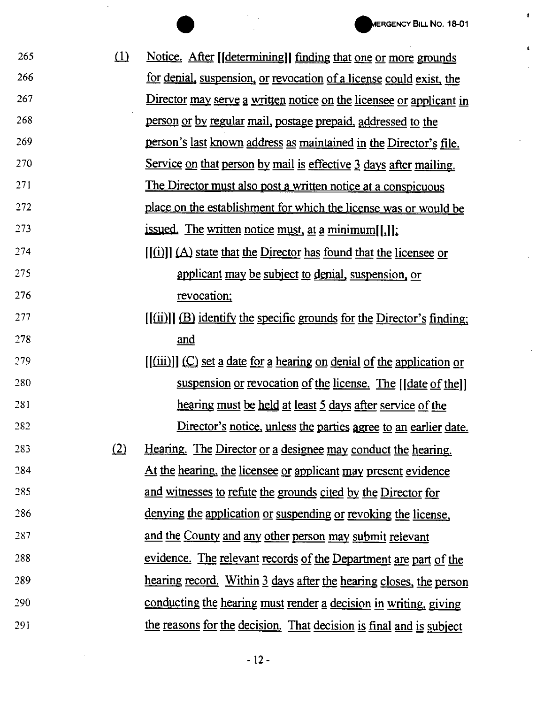$\pmb{\ast}$ 

 $\mathbf{L}$ 

 $\bar{z}$ 

 $\hat{\mathcal{A}}$ 

 $\overline{\phantom{a}}$ 

|     |     | <b>MERGENCY BILL NO. 18-01</b>                                                           |
|-----|-----|------------------------------------------------------------------------------------------|
| 265 | (1) | Notice. After [[determining]] finding that one or more grounds                           |
| 266 |     | for denial, suspension, or revocation of a license could exist, the                      |
| 267 |     | Director may serve a written notice on the licensee or applicant in                      |
| 268 |     | person or by regular mail, postage prepaid, addressed to the                             |
| 269 |     | person's last known address as maintained in the Director's file.                        |
| 270 |     | Service on that person by mail is effective 3 days after mailing.                        |
| 271 |     | The Director must also post a written notice at a conspicuous                            |
| 272 |     | place on the establishment for which the license was or would be                         |
| 273 |     | <u>issued.</u> The written notice must, at a minimum $[[,]]$ :                           |
| 274 |     | $\left[\frac{f(i)}{2}\right]$ (A) state that the Director has found that the licensee or |
| 275 |     | applicant may be subject to denial, suspension, or                                       |
| 276 |     | revocation;                                                                              |
| 277 |     | $[(iii)]$ (B) identify the specific grounds for the Director's finding;                  |
| 278 |     | and                                                                                      |
| 279 |     | [(iii)]] (C) set a date for a hearing on denial of the application or                    |
| 280 |     | suspension or revocation of the license. The [Idate of the]]                             |
| 281 |     | hearing must be held at least 5 days after service of the                                |
| 282 |     | Director's notice, unless the parties agree to an earlier date.                          |
| 283 | (2) | Hearing. The Director or a designee may conduct the hearing.                             |
| 284 |     | At the hearing, the licensee or applicant may present evidence                           |
| 285 |     | and witnesses to refute the grounds cited by the Director for                            |
| 286 |     | denying the application or suspending or revoking the license,                           |
| 287 |     | and the County and any other person may submit relevant                                  |
| 288 |     | evidence. The relevant records of the Department are part of the                         |
| 289 |     | hearing record. Within 3 days after the hearing closes, the person                       |
| 290 |     | conducting the hearing must render a decision in writing, giving                         |
| 291 |     | the reasons for the decision. That decision is final and is subject                      |

 $\sim$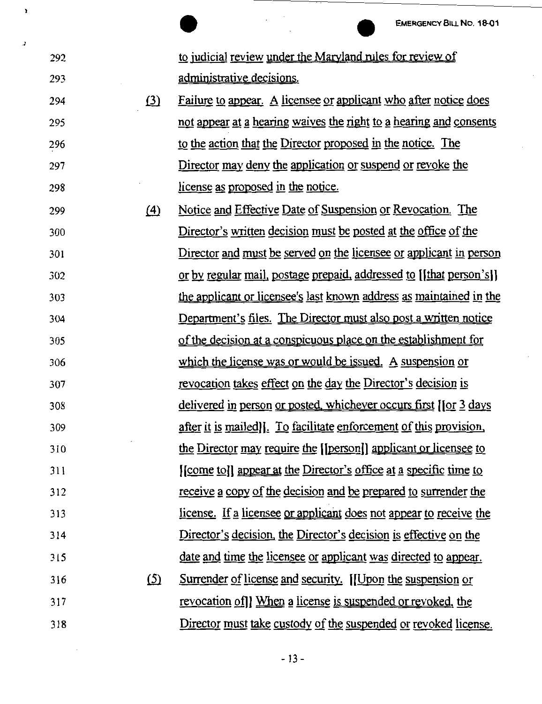EMERGENCY BILL NO. 18-01<br>to judicial review under the Maryland rules for review of administrative decisions.

.J

ï

292

293

294 295 296 297 298  $\delta$  Failure to appear. A licensee or applicant who after notice does not appear at a hearing waives the right to a hearing and consents to the action that the Director proposed in the notice. The Director may deny the application or suspend or revoke the license as proposed in the notice.

299 300 301 302 303 304 305 306 307 308 309 310 311 312 313 314 315 316 317 318 (4) Notice and Effective Date of Suspension or Revocation. The Director's written decision must be posted at the office of the Director and must be served on the licensee or applicant in person or by regular mail, postage prepaid, addressed to [ [ that person's] ] the applicant or licensee's last known address as maintained in the Department's files. The Director must also post a written notice of the decision at a conspicuous place on the establishment for which the license was or would be issued. A suspension or revocation takes effect on the day the Director's decision is delivered in person or posted, whichever occurs first [[or 3 days after it is mailed]. To facilitate enforcement of this provision. the Director may require the ((person)) applicant or licensee to [[come to]] appear at the Director's office at a specific time to receive a copy of the decision and be prepared to surrender the license. If a licensee or applicant does not appear to receive the Director's decision. the Director's decision is effective on the date and time the licensee or applicant was directed to appear. <u>(5)</u> Surrender of license and security. [[Upon the suspension or revocation ofl] When a license is suspended or revoked. the Director must take custody of the suspended or revoked license.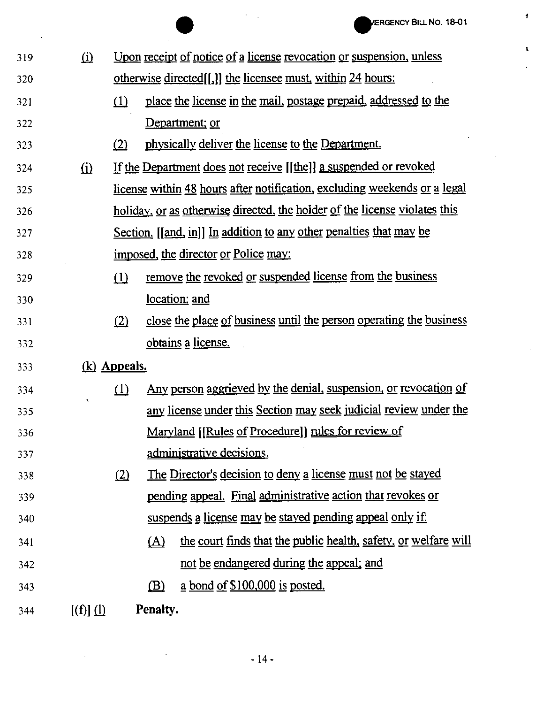l

 $\ddot{\phantom{a}}$ 

 $\ddot{\phantom{a}}$ 

 $\pmb{t}$ 

|     |             |                     | AERGENCY BILL NO. 18-01                                                       |
|-----|-------------|---------------------|-------------------------------------------------------------------------------|
| 319 | (i)         |                     | Upon receipt of notice of a license revocation or suspension, unless          |
| 320 |             |                     | <u>otherwise directed</u> [[,]] the licensee must, within 24 hours:           |
| 321 |             | (1)                 | place the license in the mail, postage prepaid, addressed to the              |
| 322 |             |                     | Department; or                                                                |
| 323 |             | (2)                 | physically deliver the license to the Department.                             |
| 324 | $\Omega$    |                     | If the Department does not receive [[the]] a suspended or revoked             |
| 325 |             |                     | license within 48 hours after notification, excluding weekends or a legal     |
| 326 |             |                     | holiday, or as otherwise directed, the holder of the license violates this    |
| 327 |             |                     | Section. [[and, in]] In addition to any other penalties that may be           |
| 328 |             |                     | imposed, the director or Police may:                                          |
| 329 |             | (1)                 | remove the revoked or suspended license from the business                     |
| 330 |             |                     | location; and                                                                 |
| 331 |             | (2)                 | close the place of business until the person operating the business           |
| 332 |             |                     | obtains a license.                                                            |
| 333 |             | <u>(k)</u> Appeals. |                                                                               |
| 334 |             | (1)                 | <u>Any person aggrieved by the denial, suspension, or revocation of</u>       |
| 335 |             |                     | any license under this Section may seek judicial review under the             |
| 336 |             |                     | Maryland [[Rules of Procedure]] rules for review of                           |
| 337 |             |                     | administrative decisions.                                                     |
| 338 |             | (2)                 | The Director's decision to deny a license must not be stayed                  |
| 339 |             |                     | pending appeal. Final administrative action that revokes or                   |
| 340 |             |                     | suspends a license may be stayed pending appeal only if:                      |
| 341 |             |                     | the court finds that the public health, safety, or welfare will<br><u>(A)</u> |
| 342 |             |                     | not be endangered during the appeal; and                                      |
| 343 |             |                     | $\underline{a}$ bond of \$100,000 is posted.<br>$\mathbf{B}$                  |
| 344 | $[(f)]$ $($ |                     | Penalty.                                                                      |

 $\mathcal{A}$ 

 $\sim$